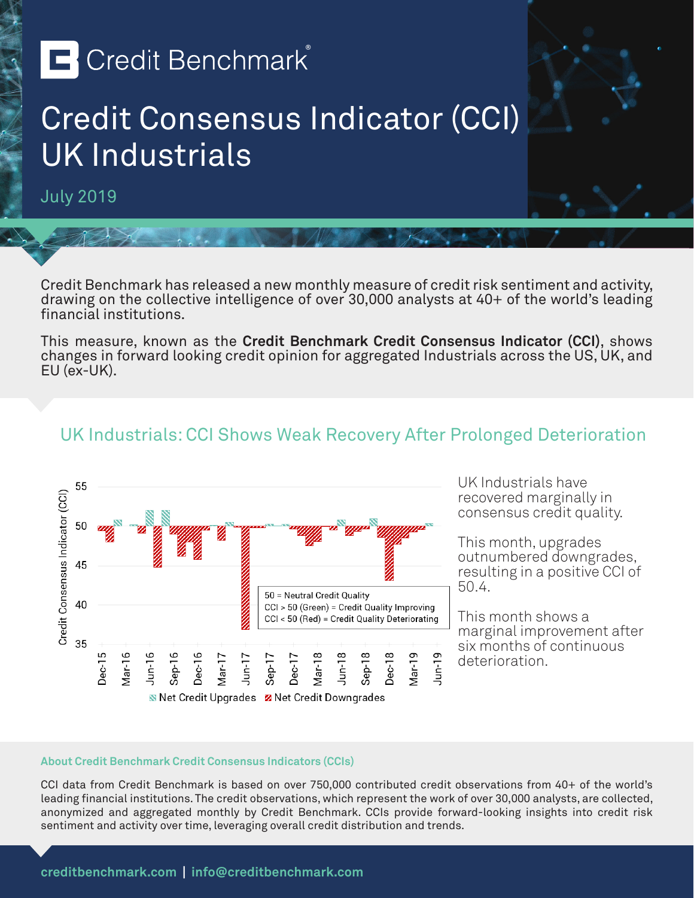# **E** Credit Benchmark®

## Credit Consensus Indicator (CCI) UK Industrials

July 2019

Credit Benchmark has released a new monthly measure of credit risk sentiment and activity, drawing on the collective intelligence of over 30,000 analysts at 40+ of the world's leading financial institutions.

This measure, known as the **Credit Benchmark Credit Consensus Indicator (CCI)**, shows changes in forward looking credit opinion for aggregated Industrials across the US, UK, and EU (ex-UK).

### UK Industrials: CCI Shows Weak Recovery After Prolonged Deterioration



UK Industrials have recovered marginally in consensus credit quality.

This month, upgrades outnumbered downgrades, resulting in a positive CCI of 50.4.

This month shows a marginal improvement after six months of continuous deterioration.

#### **About Credit Benchmark Credit Consensus Indicators (CCIs)**

CCI data from Credit Benchmark is based on over 750,000 contributed credit observations from 40+ of the world's leading financial institutions. The credit observations, which represent the work of over 30,000 analysts, are collected, anonymized and aggregated monthly by Credit Benchmark. CCIs provide forward-looking insights into credit risk sentiment and activity over time, leveraging overall credit distribution and trends.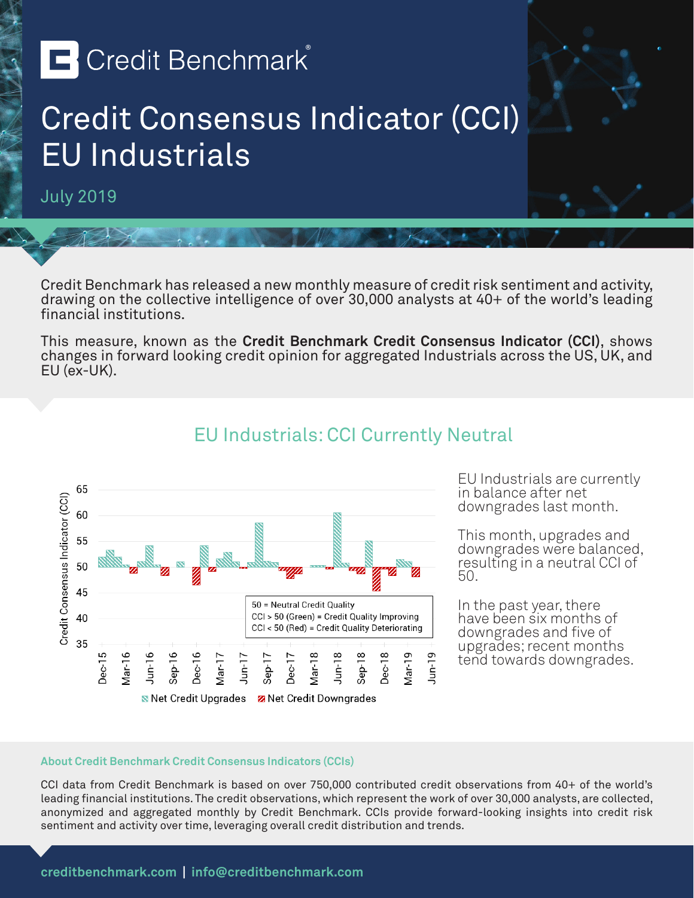# **E** Credit Benchmark®

## Credit Consensus Indicator (CCI) EU Industrials

July 2019

Credit Benchmark has released a new monthly measure of credit risk sentiment and activity, drawing on the collective intelligence of over 30,000 analysts at 40+ of the world's leading financial institutions.

This measure, known as the **Credit Benchmark Credit Consensus Indicator (CCI)**, shows changes in forward looking credit opinion for aggregated Industrials across the US, UK, and EU (ex-UK).



### EU Industrials: CCI Currently Neutral

EU Industrials are currently in balance after net downgrades last month.

This month, upgrades and downgrades were balanced, resulting in a neutral CCI of 50.

In the past year, there have been six months of downgrades and five of upgrades; recent months tend towards downgrades.

#### **About Credit Benchmark Credit Consensus Indicators (CCIs)**

CCI data from Credit Benchmark is based on over 750,000 contributed credit observations from 40+ of the world's leading financial institutions. The credit observations, which represent the work of over 30,000 analysts, are collected, anonymized and aggregated monthly by Credit Benchmark. CCIs provide forward-looking insights into credit risk sentiment and activity over time, leveraging overall credit distribution and trends.